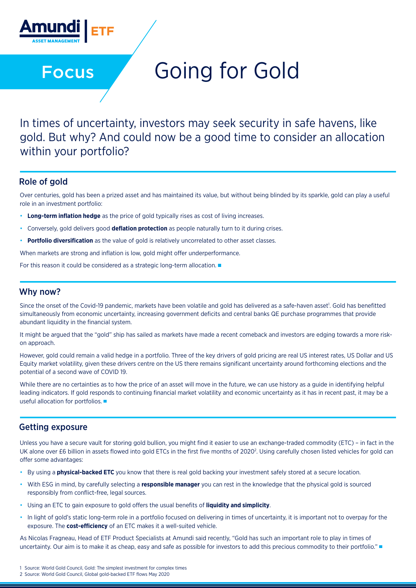

Focus

# Going for Gold

In times of uncertainty, investors may seek security in safe havens, like gold. But why? And could now be a good time to consider an allocation within your portfolio?

#### Role of gold

Over centuries, gold has been a prized asset and has maintained its value, but without being blinded by its sparkle, gold can play a useful role in an investment portfolio:

- **Long-term inflation hedge** as the price of gold typically rises as cost of living increases.
- Conversely, gold delivers good **deflation protection** as people naturally turn to it during crises.
- **Portfolio diversification** as the value of gold is relatively uncorrelated to other asset classes.

When markets are strong and inflation is low, gold might offer underperformance.

For this reason it could be considered as a strategic long-term allocation.

#### Why now?

Since the onset of the Covid-19 pandemic, markets have been volatile and gold has delivered as a safe-haven asset!. Gold has benefitted simultaneously from economic uncertainty, increasing government deficits and central banks QE purchase programmes that provide abundant liquidity in the financial system.

It might be argued that the "gold" ship has sailed as markets have made a recent comeback and investors are edging towards a more riskon approach.

However, gold could remain a valid hedge in a portfolio. Three of the key drivers of gold pricing are real US interest rates, US Dollar and US Equity market volatility, given these drivers centre on the US there remains significant uncertainty around forthcoming elections and the potential of a second wave of COVID 19.

While there are no certainties as to how the price of an asset will move in the future, we can use history as a quide in identifying helpful leading indicators. If gold responds to continuing financial market volatility and economic uncertainty as it has in recent past, it may be a useful allocation for portfolios.

## Getting exposure

Unless you have a secure vault for storing gold bullion, you might find it easier to use an exchange-traded commodity (ETC) – in fact in the UK alone over £6 billion in assets flowed into gold ETCs in the first five months of 2020<sup>2</sup>. Using carefully chosen listed vehicles for gold can offer some advantages:

- By using a **physical-backed ETC** you know that there is real gold backing your investment safely stored at a secure location.
- With ESG in mind, by carefully selecting a **responsible manager** you can rest in the knowledge that the physical gold is sourced responsibly from conflict-free, legal sources.
- Using an ETC to gain exposure to gold offers the usual benefits of **liquidity and simplicity**.
- In light of gold's static long-term role in a portfolio focused on delivering in times of uncertainty, it is important not to overpay for the exposure. The **cost-efficiency** of an ETC makes it a well-suited vehicle.

As Nicolas Fragneau, Head of ETF Product Specialists at Amundi said recently, "Gold has such an important role to play in times of uncertainty. Our aim is to make it as cheap, easy and safe as possible for investors to add this precious commodity to their portfolio."

2 Source: World Gold Council, Global gold-backed ETF flows May 2020

<sup>1</sup> Source: World Gold Council, Gold: The simplest investment for complex times